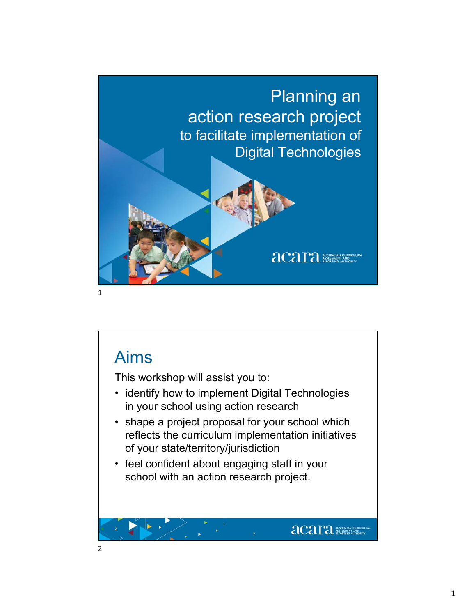

## Aims

This workshop will assist you to:

- identify how to implement Digital Technologies in your school using action research
- shape a project proposal for your school which reflects the curriculum implementation initiatives of your state/territory/jurisdiction

**acara MAN ANSTRALIAN CURRICU** 

• feel confident about engaging staff in your school with an action research project.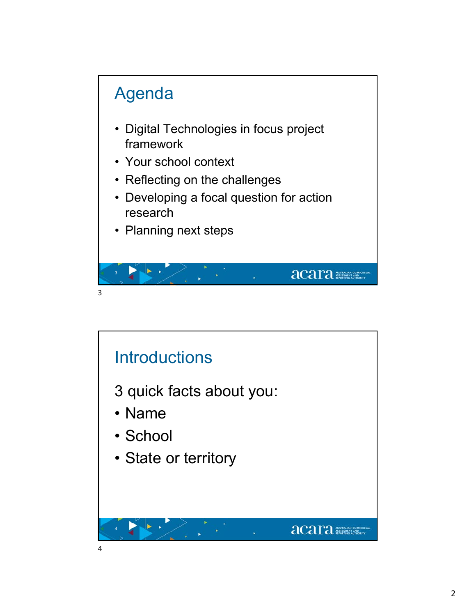

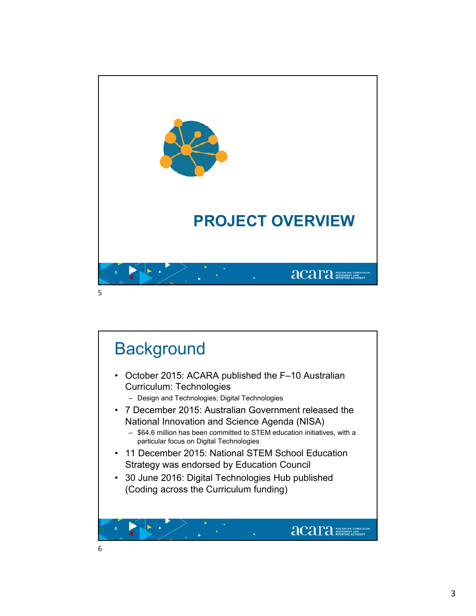

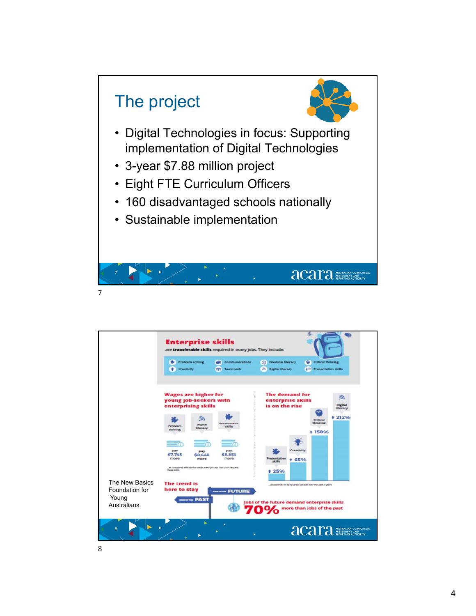

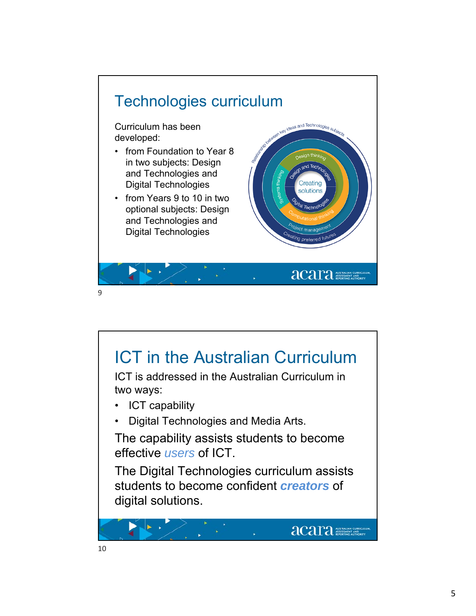

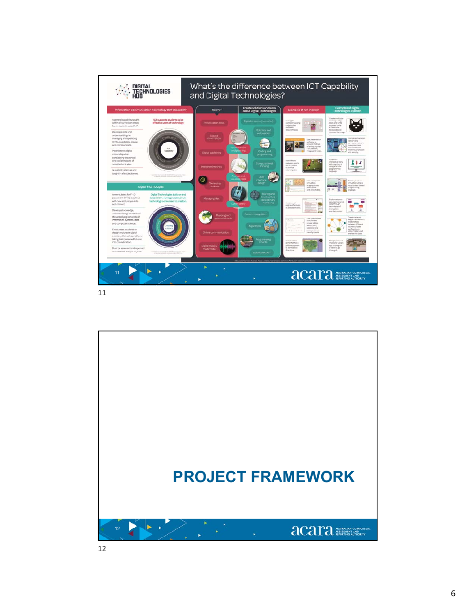

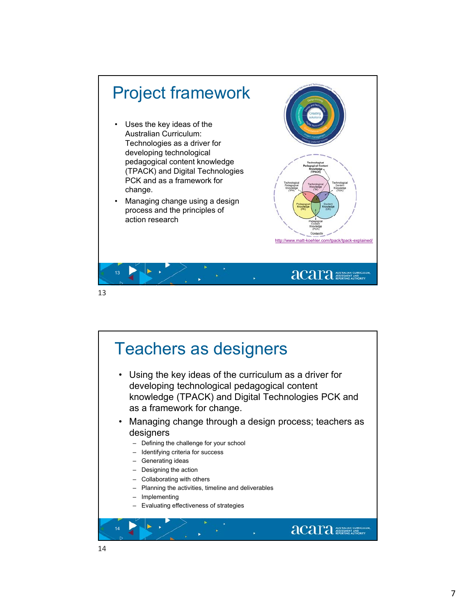

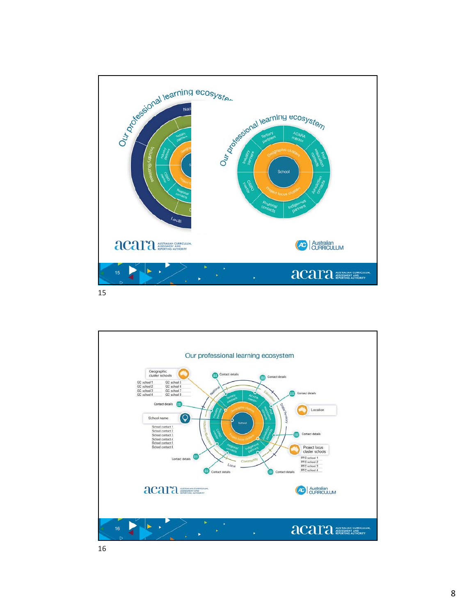

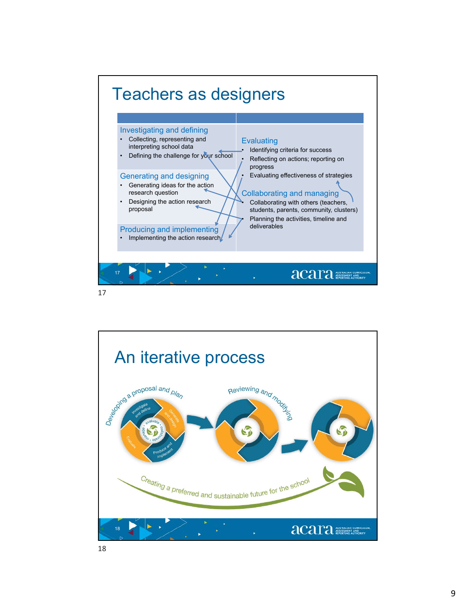

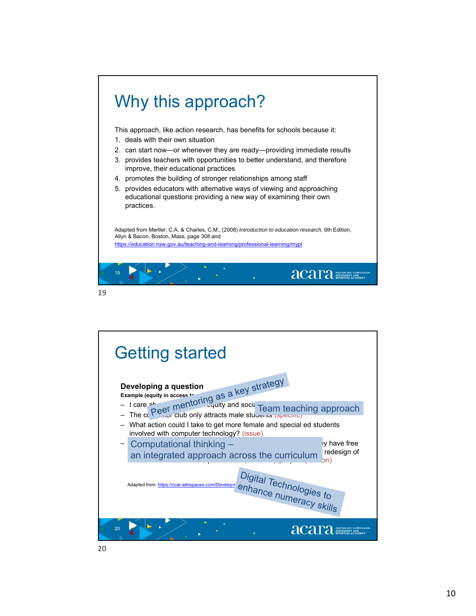

![](_page_9_Figure_2.jpeg)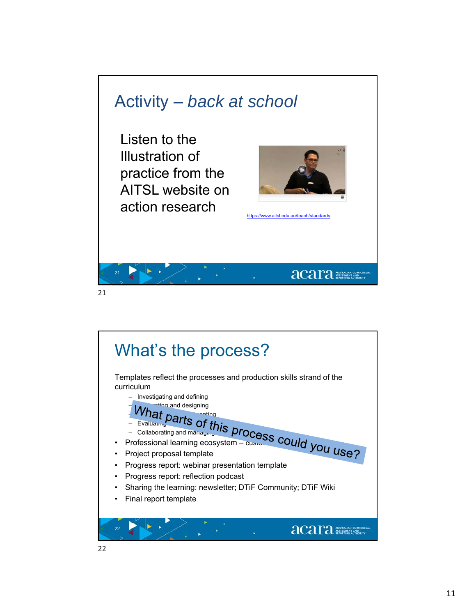![](_page_10_Picture_0.jpeg)

![](_page_10_Figure_1.jpeg)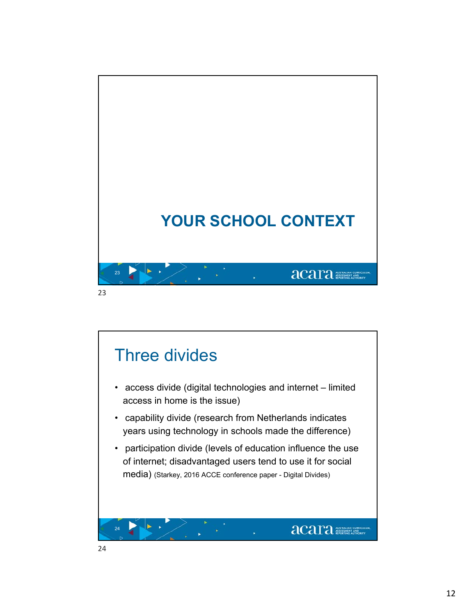![](_page_11_Picture_0.jpeg)

![](_page_11_Picture_1.jpeg)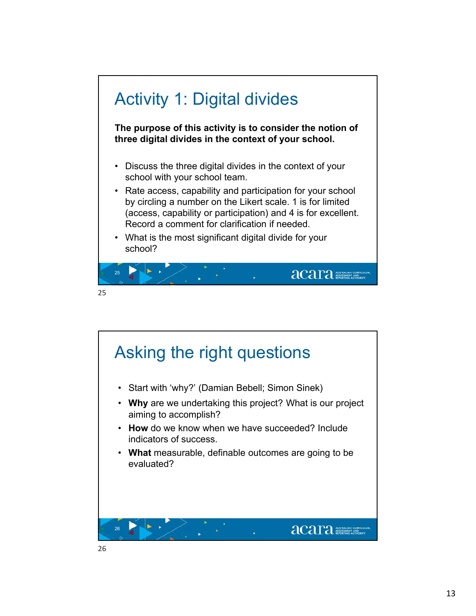![](_page_12_Figure_0.jpeg)

![](_page_12_Figure_1.jpeg)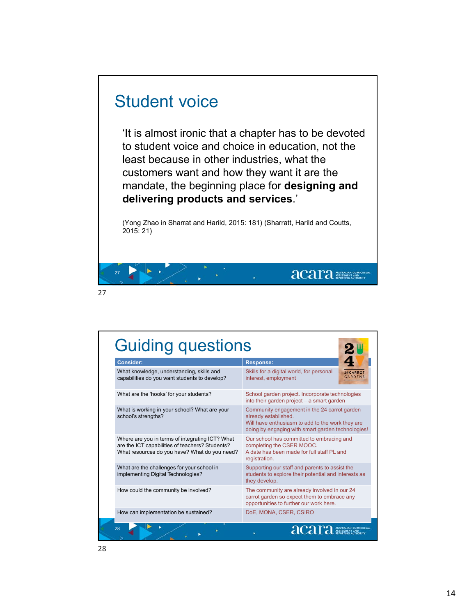## Student voice

 $\blacktriangleright$   $\blacktriangleright$ 

'It is almost ironic that a chapter has to be devoted to student voice and choice in education, not the least because in other industries, what the customers want and how they want it are the mandate, the beginning place for **designing and delivering products and services**.'

(Yong Zhao in Sharrat and Harild, 2015: 181) (Sharratt, Harild and Coutts, 2015: 21)

acara Albert Consequent

| <b>Consider:</b>                                                                                                                                    | <b>Response:</b>                                                                                                                                                              |
|-----------------------------------------------------------------------------------------------------------------------------------------------------|-------------------------------------------------------------------------------------------------------------------------------------------------------------------------------|
| What knowledge, understanding, skills and<br>capabilities do you want students to develop?                                                          | Skills for a digital world, for personal<br>24 CARROT<br><b>GARDENS</b><br>interest, employment                                                                               |
| What are the 'hooks' for your students?                                                                                                             | School garden project. Incorporate technologies<br>into their garden project - a smart garden                                                                                 |
| What is working in your school? What are your<br>school's strengths?                                                                                | Community engagement in the 24 carrot garden<br>already established.<br>Will have enthusiasm to add to the work they are<br>doing by engaging with smart garden technologies! |
| Where are you in terms of integrating ICT? What<br>are the ICT capabilities of teachers? Students?<br>What resources do you have? What do you need? | Our school has committed to embracing and<br>completing the CSER MOOC.<br>A date has been made for full staff PL and<br>registration.                                         |
| What are the challenges for your school in<br>implementing Digital Technologies?                                                                    | Supporting our staff and parents to assist the<br>students to explore their potential and interests as<br>they develop.                                                       |
| How could the community be involved?                                                                                                                | The community are already involved in our 24<br>carrot garden so expect them to embrace any<br>opportunities to further our work here.                                        |
| How can implementation be sustained?                                                                                                                | DoE, MONA, CSER, CSIRO                                                                                                                                                        |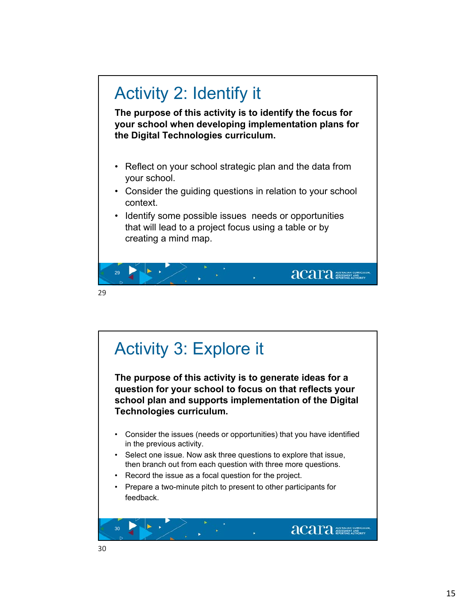![](_page_14_Figure_0.jpeg)

![](_page_14_Figure_1.jpeg)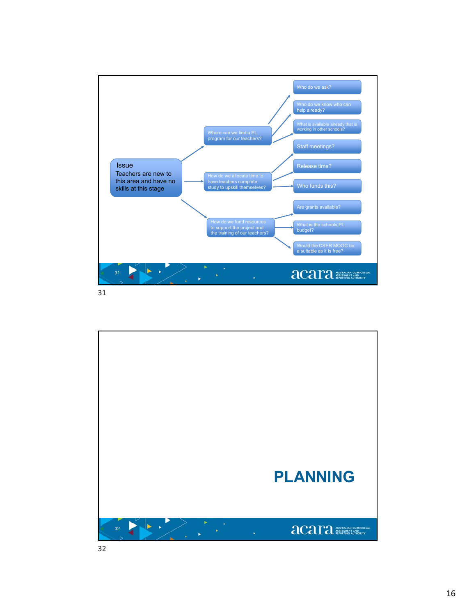![](_page_15_Figure_0.jpeg)

![](_page_15_Picture_1.jpeg)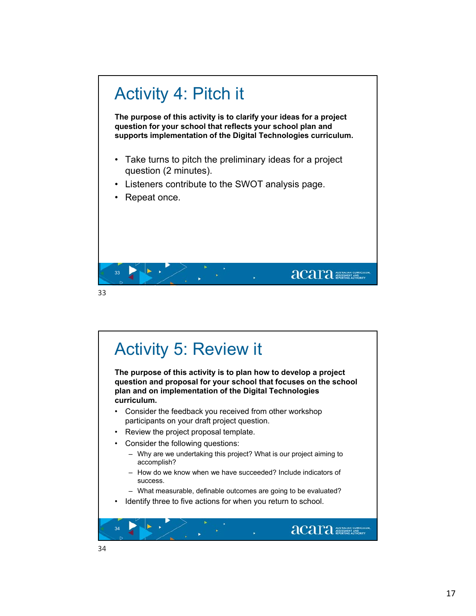![](_page_16_Figure_0.jpeg)

![](_page_16_Figure_2.jpeg)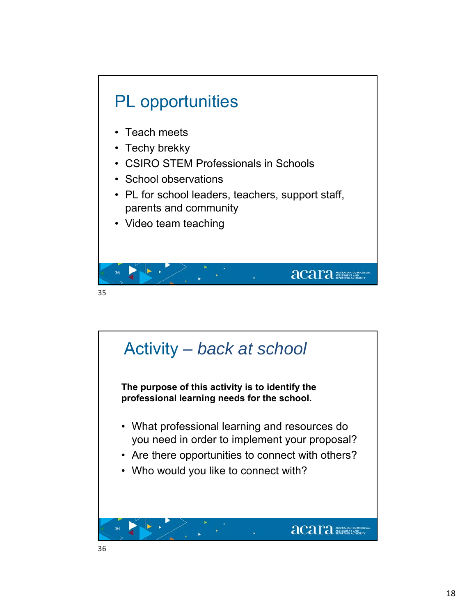![](_page_17_Figure_0.jpeg)

![](_page_17_Picture_1.jpeg)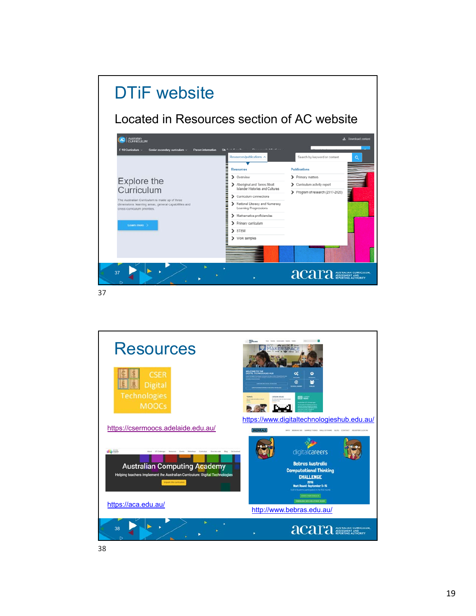![](_page_18_Picture_0.jpeg)

![](_page_18_Picture_2.jpeg)